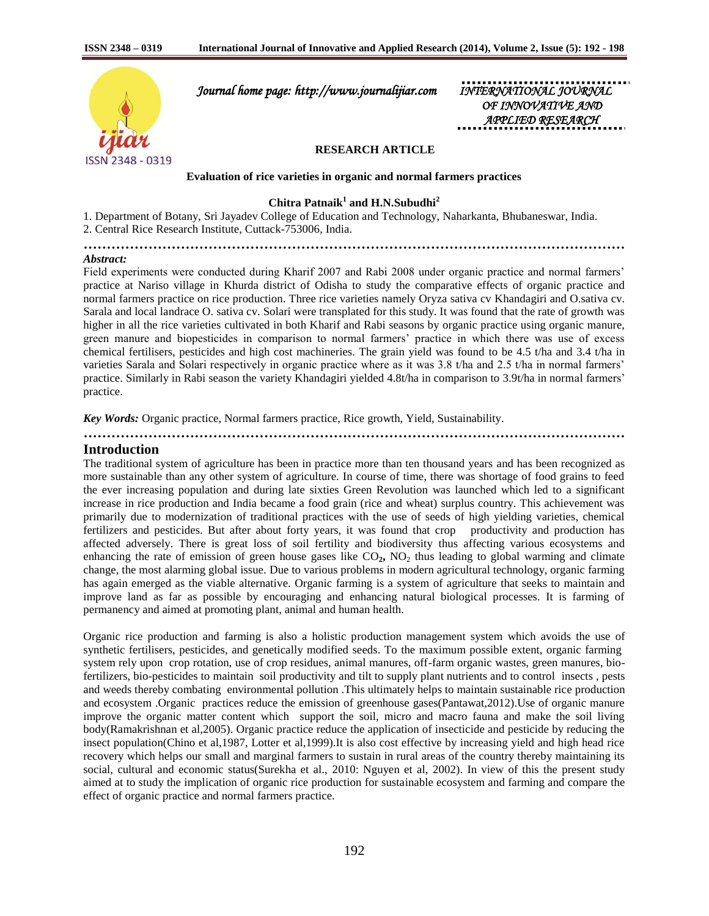

 *Journal home page: http://www.journalijiar.com INTERNATIONAL JOURNAL* 

*OF INNOVATIVE AND APPLIED RESEARCH* 

## **RESEARCH ARTICLE**

**Evaluation of rice varieties in organic and normal farmers practices**

**Chitra Patnaik<sup>1</sup> and H.N.Subudhi<sup>2</sup>**

1. Department of Botany, Sri Jayadev College of Education and Technology, Naharkanta, Bhubaneswar, India. 2. Central Rice Research Institute, Cuttack-753006, India.

**………………………………………………………………………………………………………**

#### *Abstract:*

Field experiments were conducted during Kharif 2007 and Rabi 2008 under organic practice and normal farmers' practice at Nariso village in Khurda district of Odisha to study the comparative effects of organic practice and normal farmers practice on rice production. Three rice varieties namely Oryza sativa cv Khandagiri and O.sativa cv. Sarala and local landrace O. sativa cv. Solari were transplated for this study. It was found that the rate of growth was higher in all the rice varieties cultivated in both Kharif and Rabi seasons by organic practice using organic manure, green manure and biopesticides in comparison to normal farmers' practice in which there was use of excess chemical fertilisers, pesticides and high cost machineries. The grain yield was found to be 4.5 t/ha and 3.4 t/ha in varieties Sarala and Solari respectively in organic practice where as it was 3.8 t/ha and 2.5 t/ha in normal farmers' practice. Similarly in Rabi season the variety Khandagiri yielded 4.8t/ha in comparison to 3.9t/ha in normal farmers' practice.

*Key Words:* Organic practice, Normal farmers practice, Rice growth, Yield, Sustainability.

## **Introduction**

The traditional system of agriculture has been in practice more than ten thousand years and has been recognized as more sustainable than any other system of agriculture. In course of time, there was shortage of food grains to feed the ever increasing population and during late sixties Green Revolution was launched which led to a significant increase in rice production and India became a food grain (rice and wheat) surplus country. This achievement was primarily due to modernization of traditional practices with the use of seeds of high yielding varieties, chemical fertilizers and pesticides. But after about forty years, it was found that crop productivity and production has affected adversely. There is great loss of soil fertility and biodiversity thus affecting various ecosystems and enhancing the rate of emission of green house gases like CO<sub>2</sub>, NO<sub>2</sub> thus leading to global warming and climate change, the most alarming global issue. Due to various problems in modern agricultural technology, organic farming has again emerged as the viable alternative. Organic farming is a system of agriculture that seeks to maintain and improve land as far as possible by encouraging and enhancing natural biological processes. It is farming of permanency and aimed at promoting plant, animal and human health.

Organic rice production and farming is also a holistic production management system which avoids the use of synthetic fertilisers, pesticides, and genetically modified seeds. To the maximum possible extent, organic farming system rely upon crop rotation, use of crop residues, animal manures, off-farm organic wastes, green manures, biofertilizers, bio-pesticides to maintain soil productivity and tilt to supply plant nutrients and to control insects , pests and weeds thereby combating environmental pollution .This ultimately helps to maintain sustainable rice production and ecosystem .Organic practices reduce the emission of greenhouse gases(Pantawat,2012).Use of organic manure improve the organic matter content which support the soil, micro and macro fauna and make the soil living body(Ramakrishnan et al,2005). Organic practice reduce the application of insecticide and pesticide by reducing the insect population(Chino et al,1987, Lotter et al,1999).It is also cost effective by increasing yield and high head rice recovery which helps our small and marginal farmers to sustain in rural areas of the country thereby maintaining its social, cultural and economic status(Surekha et al., 2010: Nguyen et al, 2002). In view of this the present study aimed at to study the implication of organic rice production for sustainable ecosystem and farming and compare the effect of organic practice and normal farmers practice.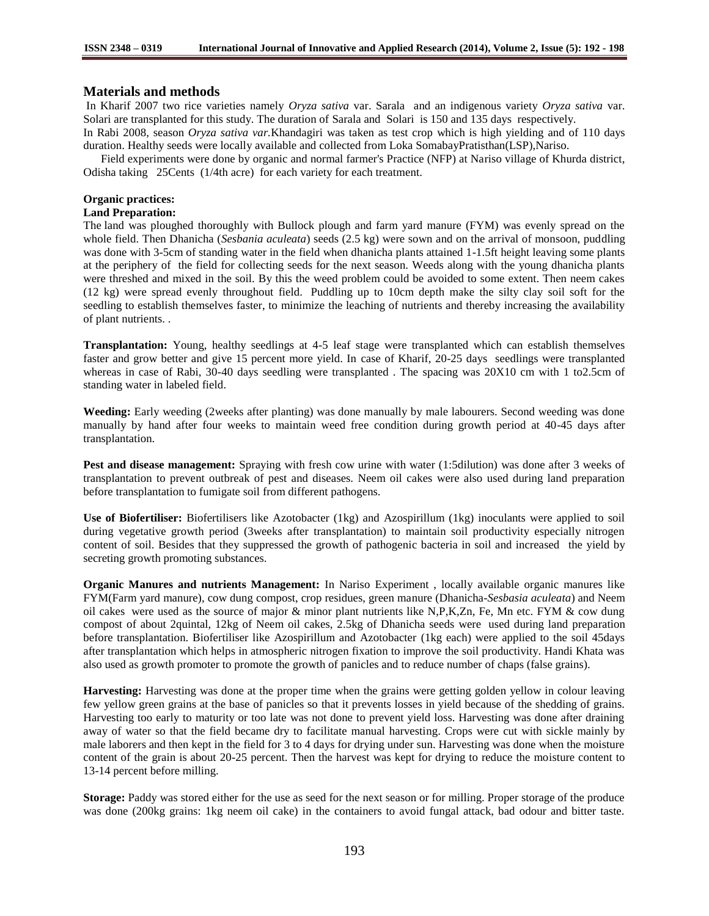### **Materials and methods**

In Kharif 2007 two rice varieties namely *Oryza sativa* var. Sarala and an indigenous variety *Oryza sativa* var. Solari are transplanted for this study. The duration of Sarala and Solari is 150 and 135 days respectively.

In Rabi 2008, season *Oryza sativa var.*Khandagiri was taken as test crop which is high yielding and of 110 days duration. Healthy seeds were locally available and collected from Loka SomabayPratisthan(LSP),Nariso.

 Field experiments were done by organic and normal farmer's Practice (NFP) at Nariso village of Khurda district, Odisha taking 25Cents (1/4th acre) for each variety for each treatment.

#### **Organic practices:**

#### **Land Preparation:**

The land was ploughed thoroughly with Bullock plough and farm yard manure (FYM) was evenly spread on the whole field. Then Dhanicha (*Sesbania aculeata*) seeds (2.5 kg) were sown and on the arrival of monsoon, puddling was done with 3-5cm of standing water in the field when dhanicha plants attained 1-1.5ft height leaving some plants at the periphery of the field for collecting seeds for the next season. Weeds along with the young dhanicha plants were threshed and mixed in the soil. By this the weed problem could be avoided to some extent. Then neem cakes (12 kg) were spread evenly throughout field. Puddling up to 10cm depth make the silty clay soil soft for the seedling to establish themselves faster, to minimize the leaching of nutrients and thereby increasing the availability of plant nutrients. .

**Transplantation:** Young, healthy seedlings at 4-5 leaf stage were transplanted which can establish themselves faster and grow better and give 15 percent more yield. In case of Kharif, 20-25 days seedlings were transplanted whereas in case of Rabi, 30-40 days seedling were transplanted. The spacing was  $20X10$  cm with 1 to2.5cm of standing water in labeled field.

**Weeding:** Early weeding (2weeks after planting) was done manually by male labourers. Second weeding was done manually by hand after four weeks to maintain weed free condition during growth period at 40-45 days after transplantation.

**Pest and disease management:** Spraying with fresh cow urine with water (1:5dilution) was done after 3 weeks of transplantation to prevent outbreak of pest and diseases. Neem oil cakes were also used during land preparation before transplantation to fumigate soil from different pathogens.

**Use of Biofertiliser:** Biofertilisers like Azotobacter (1kg) and Azospirillum (1kg) inoculants were applied to soil during vegetative growth period (3weeks after transplantation) to maintain soil productivity especially nitrogen content of soil. Besides that they suppressed the growth of pathogenic bacteria in soil and increased the yield by secreting growth promoting substances.

**Organic Manures and nutrients Management:** In Nariso Experiment , locally available organic manures like FYM(Farm yard manure), cow dung compost, crop residues, green manure (Dhanicha*-Sesbasia aculeata*) and Neem oil cakes were used as the source of major & minor plant nutrients like N,P,K,Zn, Fe, Mn etc. FYM & cow dung compost of about 2quintal, 12kg of Neem oil cakes, 2.5kg of Dhanicha seeds were used during land preparation before transplantation. Biofertiliser like Azospirillum and Azotobacter (1kg each) were applied to the soil 45days after transplantation which helps in atmospheric nitrogen fixation to improve the soil productivity. Handi Khata was also used as growth promoter to promote the growth of panicles and to reduce number of chaps (false grains).

**Harvesting:** Harvesting was done at the proper time when the grains were getting golden yellow in colour leaving few yellow green grains at the base of panicles so that it prevents losses in yield because of the shedding of grains. Harvesting too early to maturity or too late was not done to prevent yield loss. Harvesting was done after draining away of water so that the field became dry to facilitate manual harvesting. Crops were cut with sickle mainly by male laborers and then kept in the field for 3 to 4 days for drying under sun. Harvesting was done when the moisture content of the grain is about 20-25 percent. Then the harvest was kept for drying to reduce the moisture content to 13-14 percent before milling.

**Storage:** Paddy was stored either for the use as seed for the next season or for milling. Proper storage of the produce was done (200kg grains: 1kg neem oil cake) in the containers to avoid fungal attack, bad odour and bitter taste.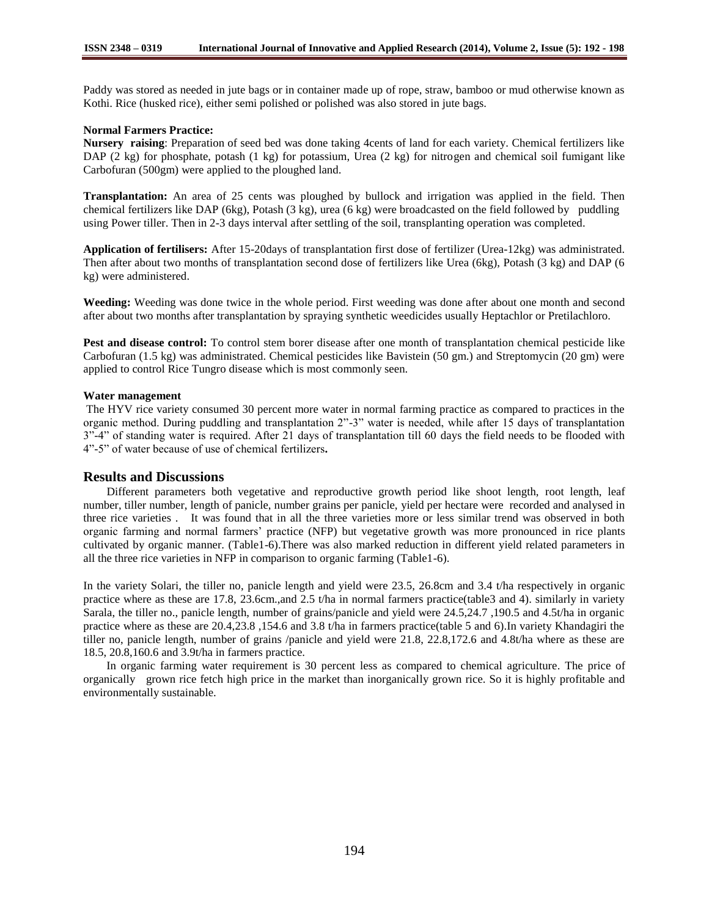Paddy was stored as needed in jute bags or in container made up of rope, straw, bamboo or mud otherwise known as Kothi. Rice (husked rice), either semi polished or polished was also stored in jute bags.

#### **Normal Farmers Practice:**

**Nursery raising**: Preparation of seed bed was done taking 4cents of land for each variety. Chemical fertilizers like DAP (2 kg) for phosphate, potash (1 kg) for potassium, Urea (2 kg) for nitrogen and chemical soil fumigant like Carbofuran (500gm) were applied to the ploughed land.

**Transplantation:** An area of 25 cents was ploughed by bullock and irrigation was applied in the field. Then chemical fertilizers like DAP (6kg), Potash (3 kg), urea (6 kg) were broadcasted on the field followed by puddling using Power tiller. Then in 2-3 days interval after settling of the soil, transplanting operation was completed.

**Application of fertilisers:** After 15-20days of transplantation first dose of fertilizer (Urea-12kg) was administrated. Then after about two months of transplantation second dose of fertilizers like Urea (6kg), Potash (3 kg) and DAP (6 kg) were administered.

**Weeding:** Weeding was done twice in the whole period. First weeding was done after about one month and second after about two months after transplantation by spraying synthetic weedicides usually Heptachlor or Pretilachloro.

**Pest and disease control:** To control stem borer disease after one month of transplantation chemical pesticide like Carbofuran (1.5 kg) was administrated. Chemical pesticides like Bavistein (50 gm.) and Streptomycin (20 gm) were applied to control Rice Tungro disease which is most commonly seen.

#### **Water management**

The HYV rice variety consumed 30 percent more water in normal farming practice as compared to practices in the organic method. During puddling and transplantation 2"-3" water is needed, while after 15 days of transplantation 3"-4" of standing water is required. After 21 days of transplantation till 60 days the field needs to be flooded with 4"-5" of water because of use of chemical fertilizers**.** 

## **Results and Discussions**

 Different parameters both vegetative and reproductive growth period like shoot length, root length, leaf number, tiller number, length of panicle, number grains per panicle, yield per hectare were recorded and analysed in three rice varieties . It was found that in all the three varieties more or less similar trend was observed in both organic farming and normal farmers' practice (NFP) but vegetative growth was more pronounced in rice plants cultivated by organic manner. (Table1-6).There was also marked reduction in different yield related parameters in all the three rice varieties in NFP in comparison to organic farming (Table1-6).

In the variety Solari, the tiller no, panicle length and yield were 23.5, 26.8cm and 3.4 t/ha respectively in organic practice where as these are 17.8, 23.6cm.,and 2.5 t/ha in normal farmers practice(table3 and 4). similarly in variety Sarala, the tiller no., panicle length, number of grains/panicle and yield were 24.5,24.7 ,190.5 and 4.5t/ha in organic practice where as these are 20.4,23.8 ,154.6 and 3.8 t/ha in farmers practice(table 5 and 6).In variety Khandagiri the tiller no, panicle length, number of grains /panicle and yield were 21.8, 22.8,172.6 and 4.8t/ha where as these are 18.5, 20.8,160.6 and 3.9t/ha in farmers practice.

 In organic farming water requirement is 30 percent less as compared to chemical agriculture. The price of organically grown rice fetch high price in the market than inorganically grown rice. So it is highly profitable and environmentally sustainable.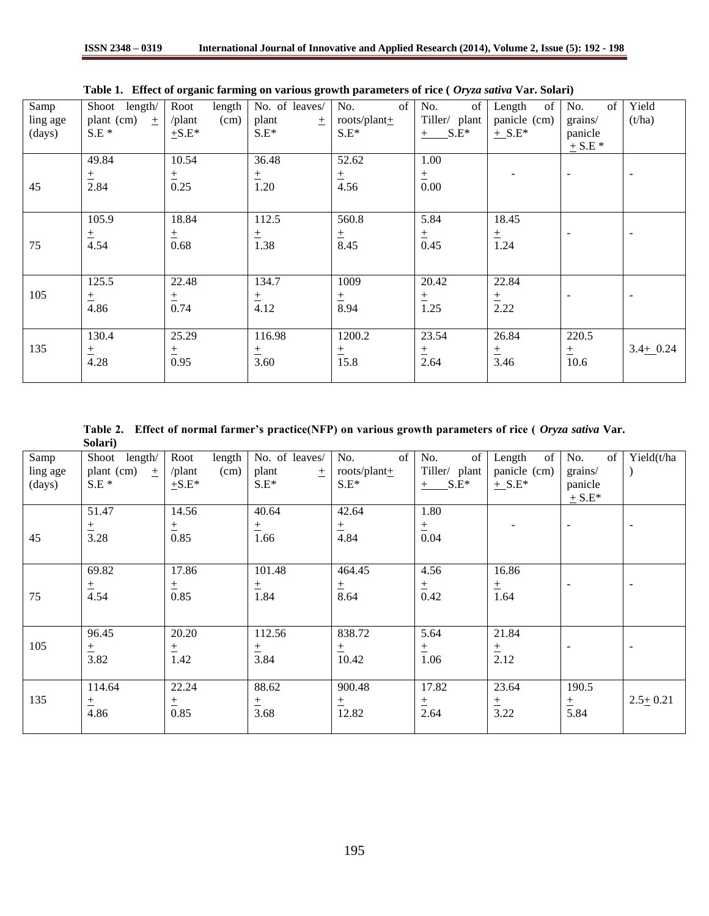| Samp     | Shoot length/     | length<br>Root | No. of leaves/ | No.<br>of         | No.<br>of     | of<br>Length | of<br>No.                | Yield        |
|----------|-------------------|----------------|----------------|-------------------|---------------|--------------|--------------------------|--------------|
| ling age | plant (cm)<br>$+$ | /plant<br>(cm) | plant<br>$+$   | roots/plant $\pm$ | Tiller/ plant | panicle (cm) | grains/                  | (t/ha)       |
| (days)   | $S.E*$            | $\pm$ S.E*     | $S.E^*$        | $S.E^*$           | $+$ S.E*      | $+$ S.E*     | panicle                  |              |
|          |                   |                |                |                   |               |              | $+$ S.E $*$              |              |
|          | 49.84             | 10.54          | 36.48          | 52.62             | 1.00          |              |                          |              |
|          | $_{\pm}$          | 土              | $\pm$          | $\pm$             | 土             |              | $\overline{\phantom{a}}$ |              |
| 45       | 2.84              | 0.25           | 1.20           | 4.56              | 0.00          |              |                          |              |
|          |                   |                |                |                   |               |              |                          |              |
|          | 105.9             | 18.84          | 112.5          | 560.8             | 5.84          | 18.45        |                          |              |
|          | $\pm$             | 土              | $\pm$          |                   | 土             | $\pm$        |                          |              |
| 75       | 4.54              | 0.68           | 1.38           | $\frac{+}{8.45}$  | 0.45          | 1.24         |                          |              |
|          |                   |                |                |                   |               |              |                          |              |
|          |                   |                |                |                   |               |              |                          |              |
|          | 125.5             | 22.48          | 134.7          | 1009              | 20.42         | 22.84        |                          |              |
| 105      | 土                 | $\pm$          | $\pm$          | 土                 | 土             | 土            |                          |              |
|          | 4.86              | 0.74           | 4.12           | 8.94              | 1.25          | 2.22         |                          |              |
|          |                   |                |                |                   |               |              |                          |              |
|          | 130.4             | 25.29          | 116.98         | 1200.2            | 23.54         | 26.84        | 220.5                    |              |
| 135      | $\pm$             | 土              | $\pm$          | $\pm$             | $\pm$         | $\pm$        | 土                        | $3.4 + 0.24$ |
|          | 4.28              | 0.95           | 3.60           | 15.8              | 2.64          | 3.46         | 10.6                     |              |
|          |                   |                |                |                   |               |              |                          |              |

**Table 1. Effect of organic farming on various growth parameters of rice (** *Oryza sativa* **Var. Solari)**

**Table 2. Effect of normal farmer's practice(NFP) on various growth parameters of rice (** *Oryza sativa* **Var. Solari)**

| Samp<br>ling age<br>(days) | Shoot length/<br>plant (cm) $\pm$<br>$S.E*$ | length<br>Root<br>/plant<br>(cm)<br>$\pm$ S.E* | No. of leaves/<br>plant<br>$\pm$<br>$S.E^*$ | of<br>No.<br>roots/plant $\pm$<br>$S.E^*$ | of<br>No.<br>Tiller/ plant<br>$+$ S.E* | of<br>Length<br>panicle (cm)<br>$+$ S.E* | $\sigma$ f<br>No.<br>grains/<br>panicle<br>$+$ S.E* | Yield(t/ha   |
|----------------------------|---------------------------------------------|------------------------------------------------|---------------------------------------------|-------------------------------------------|----------------------------------------|------------------------------------------|-----------------------------------------------------|--------------|
| 45                         | 51.47<br>土<br>3.28                          | 14.56<br>$\frac{+}{0.85}$                      | 40.64<br>$\pm$<br>1.66                      | 42.64<br>$\pm$<br>4.84                    | 1.80<br>$\frac{+}{0.04}$               |                                          | $\overline{\phantom{a}}$                            |              |
| 75                         | 69.82<br>$\frac{+}{4.54}$                   | 17.86<br>$\pm$<br>0.85                         | 101.48<br>$\pm$<br>1.84                     | 464.45<br>$\frac{+}{8.64}$                | 4.56<br>$rac{+}{0.42}$                 | 16.86<br>$\pm$<br>1.64                   |                                                     |              |
| 105                        | 96.45<br>$\frac{+}{3.82}$                   | 20.20<br>土<br>1.42                             | 112.56<br>$\pm$<br>3.84                     | 838.72<br>土<br>10.42                      | 5.64<br>$\pm$<br>1.06                  | 21.84<br>$rac{+}{2.12}$                  |                                                     |              |
| 135                        | 114.64<br>$\pm$<br>4.86                     | 22.24<br>土<br>0.85                             | 88.62<br>$\pm$<br>3.68                      | 900.48<br>土<br>12.82                      | 17.82<br>$\pm$<br>2.64                 | 23.64<br>土<br>3.22                       | 190.5<br>土<br>5.84                                  | $2.5 + 0.21$ |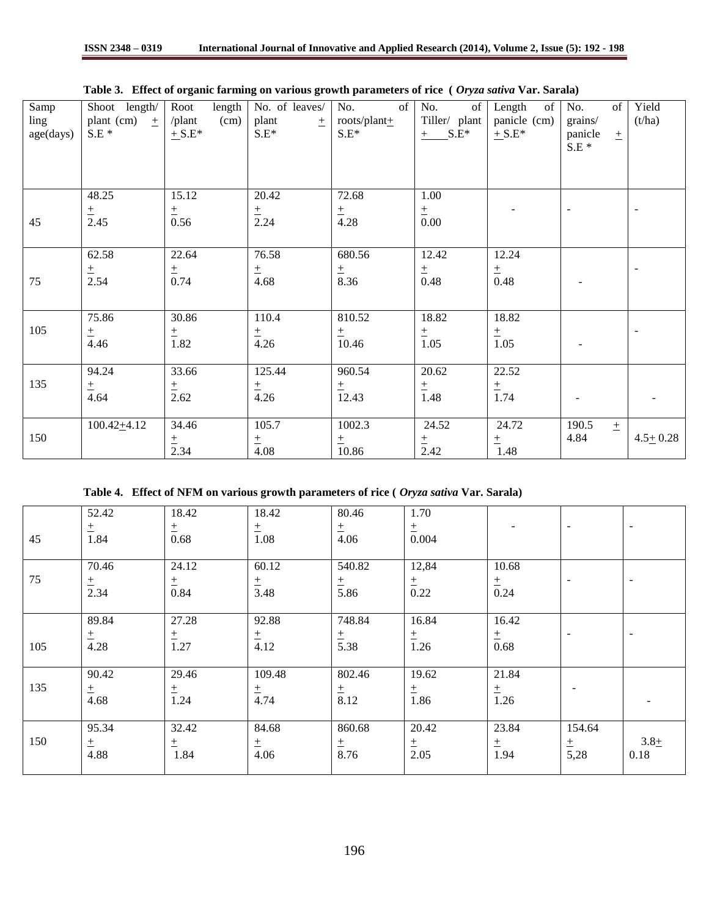|           |                  | - 0                   | $\bullet$ -      |                   |                  |              |                  |                          |
|-----------|------------------|-----------------------|------------------|-------------------|------------------|--------------|------------------|--------------------------|
| Samp      | Shoot length/    | Root<br>length        | No. of leaves/   | of<br>No.         | No.<br>of        | Length<br>of | No.<br>of        | Yield                    |
| ling      | plant (cm)<br>土  | (cm)<br>$\theta$ lant | plant<br>$\pm$ 1 | roots/plant $\pm$ | Tiller/ plant    | panicle (cm) | grains/          | (t/ha)                   |
| age(days) | $S.E*$           | $+$ S.E*              | $S.E^*$          | $S.E^*$           | $+$ S.E*         | $+$ S.E*     | panicle<br>$\pm$ |                          |
|           |                  |                       |                  |                   |                  |              |                  |                          |
|           |                  |                       |                  |                   |                  |              | $S.E*$           |                          |
|           |                  |                       |                  |                   |                  |              |                  |                          |
|           |                  |                       |                  |                   |                  |              |                  |                          |
|           |                  |                       |                  |                   |                  |              |                  |                          |
|           | 48.25            | 15.12                 | 20.42            | 72.68             | 1.00             |              |                  |                          |
|           | $\pm$            | $\pm$                 | $\pm$            | $\pm$             | $\pm$            |              | $\blacksquare$   | $\overline{\phantom{a}}$ |
| 45        | 2.45             | 0.56                  | 2.24             | 4.28              | 0.00             |              |                  |                          |
|           |                  |                       |                  |                   |                  |              |                  |                          |
|           |                  |                       |                  |                   |                  |              |                  |                          |
|           | 62.58            | 22.64                 | 76.58            | 680.56            | 12.42            | 12.24        |                  |                          |
|           | $\pm$            |                       | $\pm$            |                   | 土                | $\pm$        |                  | $\overline{\phantom{a}}$ |
| 75        | 2.54             | $rac{+}{0.74}$        | 4.68             | $\frac{+}{8.36}$  | 0.48             | 0.48         |                  |                          |
|           |                  |                       |                  |                   |                  |              |                  |                          |
|           |                  |                       |                  |                   |                  |              |                  |                          |
|           | 75.86            | 30.86                 | 110.4            | 810.52            | 18.82            | 18.82        |                  |                          |
| 105       |                  |                       |                  |                   |                  |              |                  | $\overline{a}$           |
|           | $\pm$            | $\frac{+}{1.82}$      | $\pm$            | $\pm$             | $\pm$            | $\pm$        |                  |                          |
|           | 4.46             |                       | 4.26             | 10.46             | 1.05             | 1.05         |                  |                          |
|           |                  |                       |                  |                   |                  |              |                  |                          |
|           | 94.24            | 33.66                 | 125.44           | 960.54            | 20.62            | 22.52        |                  |                          |
| 135       |                  |                       | $\pm$            |                   |                  | $\pm$        |                  |                          |
|           | $\frac{+}{4.64}$ | $\frac{+}{2.62}$      | 4.26             | $rac{+}{12.43}$   | $\frac{+}{1.48}$ | 1.74         |                  |                          |
|           |                  |                       |                  |                   |                  |              |                  |                          |
|           |                  |                       |                  |                   |                  |              |                  |                          |
|           | $100.42 + 4.12$  | 34.46                 | 105.7            | 1002.3            | 24.52            | 24.72        | 190.5<br>$\pm$   |                          |
| 150       |                  | $rac{+}{2.34}$        | $\pm$            | $\pm$             | $\pm$            | $\pm$        | 4.84             | $4.5 \pm 0.28$           |
|           |                  |                       | 4.08             | 10.86             | 2.42             | 1.48         |                  |                          |

| Table 3. Effect of organic farming on various growth parameters of rice (Oryza sativa Var. Sarala) |  |  |
|----------------------------------------------------------------------------------------------------|--|--|
|----------------------------------------------------------------------------------------------------|--|--|

**Table 4. Effect of NFM on various growth parameters of rice (** *Oryza sativa* **Var. Sarala)**

|     | 52.42<br>土             | 18.42<br>土             | 18.42<br>土              | 80.46<br>$\pm$          | 1.70<br>$\pm$          |                        | $\overline{\phantom{a}}$ |                 |
|-----|------------------------|------------------------|-------------------------|-------------------------|------------------------|------------------------|--------------------------|-----------------|
| 45  | 1.84                   | 0.68                   | 1.08                    | 4.06                    | 0.004                  |                        |                          |                 |
| 75  | 70.46<br>土<br>2.34     | 24.12<br>土<br>0.84     | 60.12<br>$\pm$<br>3.48  | 540.82<br>土<br>5.86     | 12,84<br>$\pm$<br>0.22 | 10.68<br>土<br>0.24     | $\overline{a}$           |                 |
| 105 | 89.84<br>$\pm$<br>4.28 | 27.28<br>土<br>1.27     | 92.88<br>$\pm$<br>4.12  | 748.84<br>土<br>5.38     | 16.84<br>$\pm$<br>1.26 | 16.42<br>土<br>0.68     |                          |                 |
| 135 | 90.42<br>土<br>4.68     | 29.46<br>土<br>1.24     | 109.48<br>$\pm$<br>4.74 | 802.46<br>$\pm$<br>8.12 | 19.62<br>土<br>1.86     | 21.84<br>$\pm$<br>1.26 | $\qquad \qquad$          |                 |
| 150 | 95.34<br>土<br>4.88     | 32.42<br>$\pm$<br>1.84 | 84.68<br>$\pm$<br>4.06  | 860.68<br>$\pm$<br>8.76 | 20.42<br>$\pm$<br>2.05 | 23.84<br>$\pm$<br>1.94 | 154.64<br>$\pm$<br>5,28  | $3.8 +$<br>0.18 |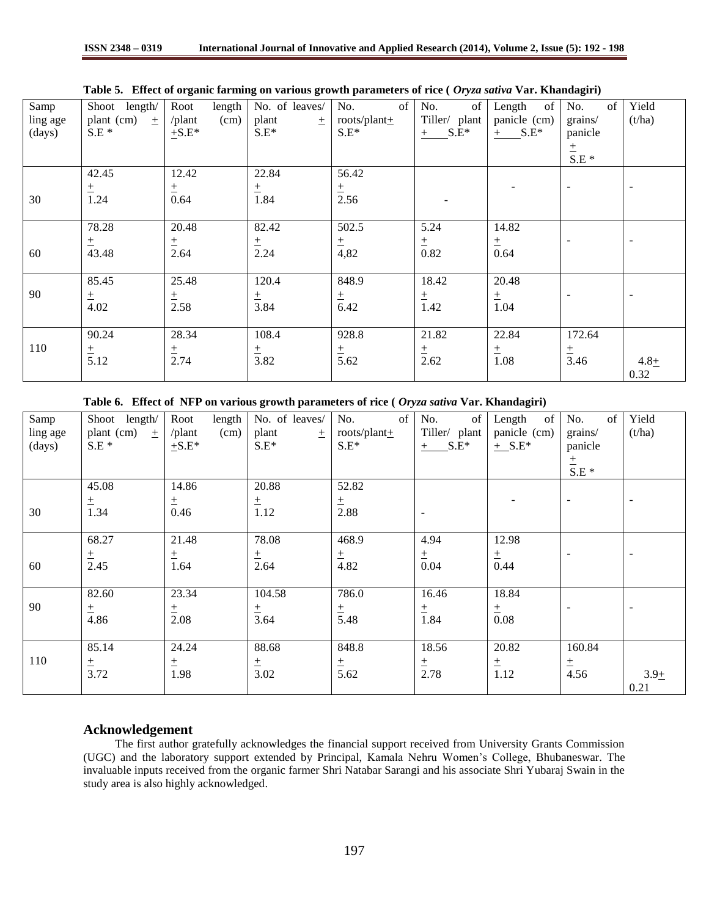| Samp     | Shoot length/     | Root<br>length         | No. of leaves/ | No.<br>of         | of<br>No.      | of<br>Length | of<br>No.                | Yield   |
|----------|-------------------|------------------------|----------------|-------------------|----------------|--------------|--------------------------|---------|
| ling age | plant (cm)<br>$+$ | $\sqrt{$ plant<br>(cm) | plant<br>土     | roots/plant $\pm$ | Tiller/ plant  | panicle (cm) | grains/                  | (t/ha)  |
| (days)   | $S.E*$            | $+S.E^*$               | $S.E^*$        | $S.E^*$           | $S.E^*$<br>$+$ | $+$ S.E*     | panicle                  |         |
|          |                   |                        |                |                   |                |              | $rac{\pm}{\text{S.E}}$ * |         |
|          |                   |                        |                |                   |                |              |                          |         |
|          | 42.45             | 12.42                  | 22.84          | 56.42             |                |              |                          |         |
|          | $\pm$             | 土                      | 土              | 土                 |                |              | $\sim$                   |         |
| 30       | 1.24              | 0.64                   | 1.84           | 2.56              |                |              |                          |         |
|          |                   |                        |                |                   |                |              |                          |         |
|          | 78.28             | 20.48                  | 82.42          | 502.5             | 5.24           | 14.82        |                          |         |
|          | 土                 | 土                      | 土              | 土                 | 土              | 土            | $\overline{\phantom{a}}$ |         |
| 60       | 43.48             | 2.64                   | 2.24           | 4,82              | 0.82           | 0.64         |                          |         |
|          |                   |                        |                |                   |                |              |                          |         |
|          | 85.45             | 25.48                  | 120.4          | 848.9             | 18.42          | 20.48        |                          |         |
| 90       | $\pm$             | 土                      | 土              | $\pm$             | 土              | 土            | $\overline{\phantom{a}}$ |         |
|          | 4.02              | 2.58                   | 3.84           | 6.42              | 1.42           | 1.04         |                          |         |
|          |                   |                        |                |                   |                |              |                          |         |
|          | 90.24             | 28.34                  | 108.4          | 928.8             | 21.82          | 22.84        | 172.64                   |         |
| 110      | $\pm$             | 土                      | 土              | $\pm$             | 土              | $\pm$        | $\pm$                    |         |
|          | 5.12              | 2.74                   | 3.82           | 5.62              | 2.62           | 1.08         | 3.46                     | $4.8 +$ |
|          |                   |                        |                |                   |                |              |                          | 0.32    |

**Table 5. Effect of organic farming on various growth parameters of rice (** *Oryza sativa* **Var. Khandagiri)** 

**Table 6. Effect of NFP on various growth parameters of rice (** *Oryza sativa* **Var. Khandagiri)**

| Samp     | Shoot length/       | Root<br>length | No. of leaves/   | No.<br>of        | No.<br>of     | of<br>Length | of<br>No.                | Yield                    |
|----------|---------------------|----------------|------------------|------------------|---------------|--------------|--------------------------|--------------------------|
| ling age | plant (cm)<br>$\pm$ | /plant<br>(cm) | plant<br>土       | roots/plant $+$  | Tiller/ plant | panicle (cm) | grains/                  | (t/ha)                   |
| (days)   | $S.E*$              | $+S.E^*$       | $S.E^*$          | $S.E^*$          | $+$ S.E*      | $+$ S.E*     | panicle                  |                          |
|          |                     |                |                  |                  |               |              | $\pm$                    |                          |
|          |                     |                |                  |                  |               |              | $S.E*$                   |                          |
|          | 45.08               | 14.86          | 20.88            | 52.82            |               |              |                          |                          |
|          | 土                   | 土              | $\pm$            | $\pm$            |               |              | $\overline{\phantom{a}}$ | $\overline{\phantom{a}}$ |
| 30       | 1.34                | 0.46           | 1.12             | 2.88             |               |              |                          |                          |
|          |                     |                |                  |                  |               |              |                          |                          |
|          | 68.27               | 21.48          | 78.08            | 468.9            | 4.94          | 12.98        |                          |                          |
|          | 土                   | 土              | $\pm$            | 土                | 土             | 土            | $\overline{\phantom{a}}$ | ٠                        |
| 60       | 2.45                | 1.64           | 2.64             | 4.82             | 0.04          | 0.44         |                          |                          |
|          |                     |                |                  |                  |               |              |                          |                          |
|          | 82.60               | 23.34          | 104.58           | 786.0            | 16.46         | 18.84        |                          |                          |
| 90       |                     | 土              | $\frac{+}{3.64}$ | $\frac{+}{5.48}$ | 土             | 土            | $\overline{\phantom{a}}$ |                          |
|          | $\frac{+}{4.86}$    | 2.08           |                  |                  | 1.84          | 0.08         |                          |                          |
|          |                     |                |                  |                  |               |              |                          |                          |
|          | 85.14               | 24.24          | 88.68            | 848.8            | 18.56         | 20.82        | 160.84                   |                          |
| 110      | $_{\pm}$            | 土              | $\pm$            | $\pm$            | 土             | 土            | 土                        |                          |
|          | 3.72                | 1.98           | 3.02             | 5.62             | 2.78          | 1.12         | 4.56                     | $3.9 +$                  |
|          |                     |                |                  |                  |               |              |                          | 0.21                     |

## **Acknowledgement**

 The first author gratefully acknowledges the financial support received from University Grants Commission (UGC) and the laboratory support extended by Principal, Kamala Nehru Women's College, Bhubaneswar. The invaluable inputs received from the organic farmer Shri Natabar Sarangi and his associate Shri Yubaraj Swain in the study area is also highly acknowledged.